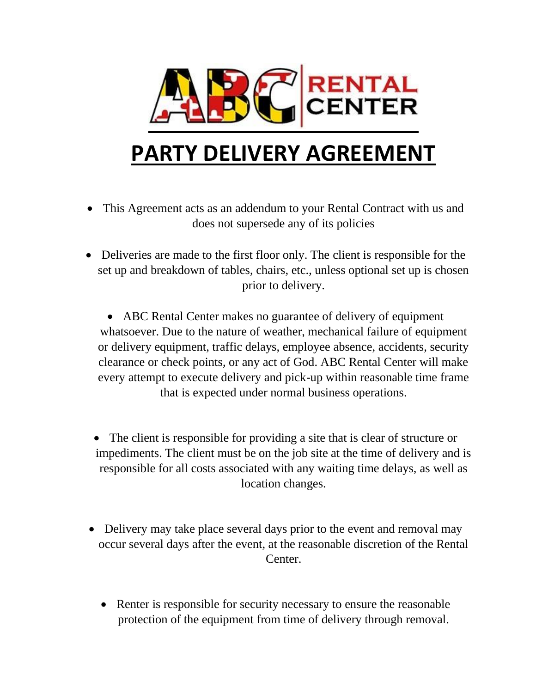

## **PARTY DELIVERY AGREEMENT**

- This Agreement acts as an addendum to your Rental Contract with us and does not supersede any of its policies
- Deliveries are made to the first floor only. The client is responsible for the set up and breakdown of tables, chairs, etc., unless optional set up is chosen prior to delivery.

• ABC Rental Center makes no guarantee of delivery of equipment whatsoever. Due to the nature of weather, mechanical failure of equipment or delivery equipment, traffic delays, employee absence, accidents, security clearance or check points, or any act of God. ABC Rental Center will make every attempt to execute delivery and pick-up within reasonable time frame that is expected under normal business operations.

- The client is responsible for providing a site that is clear of structure or impediments. The client must be on the job site at the time of delivery and is responsible for all costs associated with any waiting time delays, as well as location changes.
- Delivery may take place several days prior to the event and removal may occur several days after the event, at the reasonable discretion of the Rental Center.
	- Renter is responsible for security necessary to ensure the reasonable protection of the equipment from time of delivery through removal.